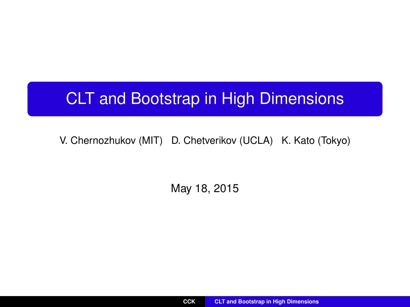# <span id="page-0-0"></span>CLT and Bootstrap in High Dimensions

V. Chernozhukov (MIT) D. Chetverikov (UCLA) K. Kato (Tokyo)

May 18, 2015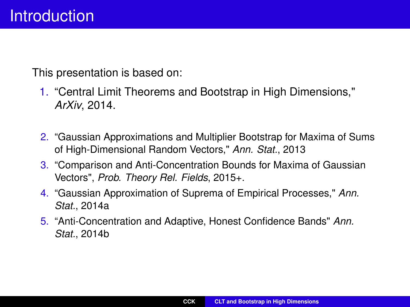This presentation is based on:

- 1. "Central Limit Theorems and Bootstrap in High Dimensions," *ArXiv*, 2014.
- 2. "Gaussian Approximations and Multiplier Bootstrap for Maxima of Sums of High-Dimensional Random Vectors," *Ann. Stat.*, 2013
- 3. "Comparison and Anti-Concentration Bounds for Maxima of Gaussian Vectors", *Prob. Theory Rel. Fields*, 2015+.
- 4. "Gaussian Approximation of Suprema of Empirical Processes," *Ann. Stat.*, 2014a
- 5. "Anti-Concentration and Adaptive, Honest Confidence Bands" *Ann. Stat.*, 2014b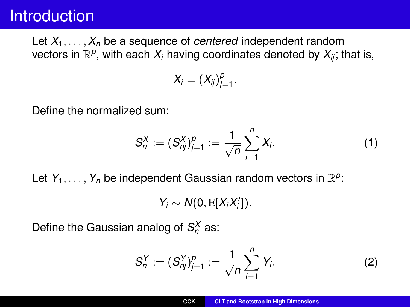### **Introduction**

Let  $X_1, \ldots, X_n$  be a sequence of *centered* independent random vectors in  $\mathbb{R}^p$ , with each  $X_i$  having coordinates denoted by  $X_{ij}$ ; that is,

$$
X_i=(X_{ij})_{j=1}^p.
$$

Define the normalized sum:

$$
S_n^X := (S_{nj}^X)_{j=1}^p := \frac{1}{\sqrt{n}} \sum_{i=1}^n X_i.
$$
 (1)

Let  $Y_1, \ldots, Y_n$  be independent Gaussian random vectors in  $\mathbb{R}^p$ :

 $Y_i \sim N(0, E[X_iX_i'])$ .

Define the Gaussian analog of  $S_n^X$  as:

$$
S_n^Y := (S_{nj}^Y)_{j=1}^p := \frac{1}{\sqrt{n}} \sum_{i=1}^n Y_i.
$$
 (2)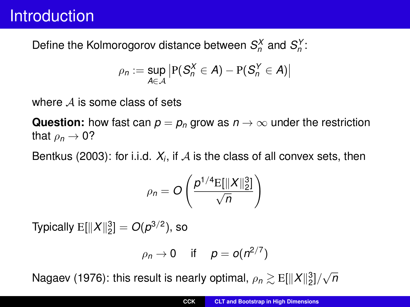### **Introduction**

Define the Kolmorogorov distance between  $S_n^X$  and  $S_n^Y$ :

$$
\rho_n := \sup_{A \in \mathcal{A}} \left| P(S_n^X \in A) - P(S_n^Y \in A) \right|
$$

where  $A$  is some class of sets

**Question:** how fast can  $p = p_p$  grow as  $n \to \infty$  under the restriction that  $\rho_n \to 0$ ?

Bentkus (2003): for i.i.d.  $X_i$ , if  ${\cal A}$  is the class of all convex sets, then

$$
\rho_n = O\left(\frac{p^{1/4} \mathrm{E}[\|X\|_2^3]}{\sqrt{n}}\right)
$$

Typically  $\mathrm{E}[\|X\|_2^3] = O(p^{3/2})$ , so

$$
\rho_n \to 0 \quad \text{if} \quad p = o(n^{2/7})
$$

Nagaev (1976): this result is nearly optimal,  $\rho_n \gtrsim {\rm E}[\|X\|_2^3]/\sqrt{n}$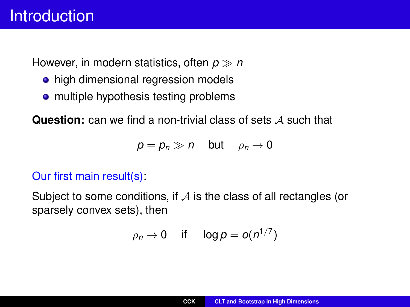However, in modern statistics, often *p n*

- high dimensional regression models
- multiple hypothesis testing problems

**Question:** can we find a non-trivial class of sets A such that

$$
p=p_n\gg n\quad\text{but}\quad\rho_n\to0
$$

#### Our first main result(s):

Subject to some conditions, if  $A$  is the class of all rectangles (or sparsely convex sets), then

$$
\rho_n \to 0 \quad \text{ if } \quad \log p = o(n^{1/7})
$$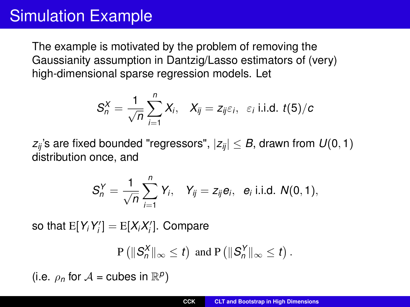# Simulation Example

The example is motivated by the problem of removing the Gaussianity assumption in Dantzig/Lasso estimators of (very) high-dimensional sparse regression models. Let

$$
S_n^X = \frac{1}{\sqrt{n}} \sum_{i=1}^n X_i, \quad X_{ij} = z_{ij} \varepsilon_i, \quad \varepsilon_i \text{ i.i.d. } t(5)/c
$$

*z*<sup>*i*</sup> s are fixed bounded "regressors",  $|z_{ii}| \leq B$ , drawn from  $U(0, 1)$ distribution once, and

$$
S_n^Y = \frac{1}{\sqrt{n}} \sum_{i=1}^n Y_i, \quad Y_{ij} = z_{ij} e_i, \quad e_i \text{ i.i.d. } N(0, 1),
$$

so that  $\mathrm{E}[Y_i Y'_i] = \mathrm{E}[X_i X'_i]$ . Compare

$$
\mathbf{P}\left(\|\mathcal{S}_n^{\mathsf{X}}\|_{\infty} \leq t\right) \text{ and } \mathbf{P}\left(\|\mathcal{S}_n^{\mathsf{Y}}\|_{\infty} \leq t\right).
$$

(i.e.  $\rho_n$  for  $\mathcal{A}$  = cubes in  $\mathbb{R}^p$ )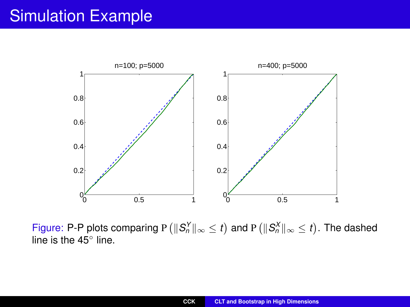# Simulation Example



Figure: P-P plots comparing P  $(\|S_n^Y\|_\infty \leq t)$  and P  $(\|S_n^X\|_\infty \leq t)$ . The dashed line is the 45<sup>°</sup> line.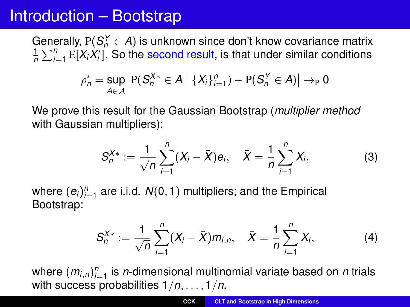### Introduction – Bootstrap

Generally,  $P(S_n^Y \in A)$  is unknown since don't know covariance matrix  $\frac{1}{n}\sum_{i=1}^n E[X_iX_i']$ . So the second result, is that under similar conditions

$$
\rho_n^* = \sup_{A \in \mathcal{A}} \left| \mathrm{P}(S_n^{X*} \in A \mid \{X_i\}_{i=1}^n) - \mathrm{P}(S_n^Y \in A) \right| \rightarrow_{\mathrm{P}} 0
$$

We prove this result for the Gaussian Bootstrap (*multiplier method* with Gaussian multipliers):

$$
S_n^{X*} := \frac{1}{\sqrt{n}} \sum_{i=1}^n (X_i - \bar{X}) e_i, \quad \bar{X} = \frac{1}{n} \sum_{i=1}^n X_i,
$$
 (3)

where  $(e_i)_{i=1}^n$  are i.i.d.  $N(0, 1)$  multipliers; and the Empirical Bootstrap:

$$
S_n^{X*} := \frac{1}{\sqrt{n}} \sum_{i=1}^n (X_i - \bar{X}) m_{i,n}, \quad \bar{X} = \frac{1}{n} \sum_{i=1}^n X_i,
$$
 (4)

where  $(m_{i,n})_{i=1}^n$  is *n*-dimensional multinomial variate based on *n* trials with success probabilities 1/*n*, . . . , 1/*n*.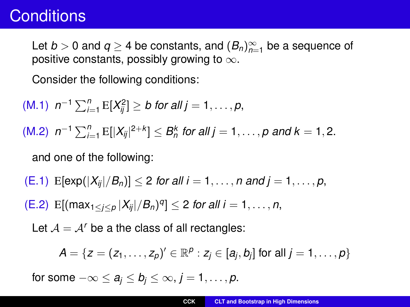### **Conditions**

Let  $b > 0$  and  $q \ge 4$  be constants, and  $(B_n)_{n=1}^{\infty}$  be a sequence of positive constants, possibly growing to  $\infty$ .

Consider the following conditions:

\n- (M.1) 
$$
n^{-1} \sum_{i=1}^{n} E[X_{ij}^2] \geq b
$$
 for all  $j = 1, \ldots, p$ ,
\n- (M.2)  $n^{-1} \sum_{i=1}^{n} E[X_{ij}|^{2+k}] \leq B_n^k$  for all  $j = 1, \ldots, p$  and  $k = 1, 2$ .
\n- and one of the following:
\n- (E.1)  $E[\exp(|X_{ij}|/B_n)] \leq 2$  for all  $i = 1, \ldots, n$  and  $j = 1, \ldots, p$ ,
\n- (E.2)  $E[(\max_{1 \leq j \leq p} |X_{ij}|/B_n)^q] \leq 2$  for all  $i = 1, \ldots, n$ ,
\n

Let  $A = A<sup>r</sup>$  be a the class of all rectangles:

$$
A=\{z=(z_1,\ldots,z_p)' \in \mathbb{R}^p: z_j \in [a_j,b_j] \text{ for all } j=1,\ldots,p\}
$$

for some  $-\infty \le a_j \le b_j \le \infty, j = 1, \ldots, p$ .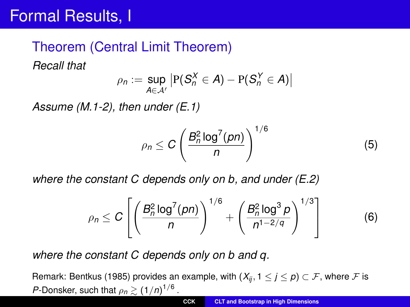# Formal Results, I

#### Theorem (Central Limit Theorem)

*Recall that*

$$
\rho_n := \sup_{A \in \mathcal{A}'} \left| P(S_n^X \in A) - P(S_n^Y \in A) \right|
$$

*Assume (M.1-2), then under (E.1)*

$$
\rho_n \leq C \left( \frac{B_n^2 \log^7(pn)}{n} \right)^{1/6} \tag{5}
$$

*where the constant C depends only on b, and under (E.2)*

$$
\rho_n \le C \left[ \left( \frac{B_n^2 \log^7(pn)}{n} \right)^{1/6} + \left( \frac{B_n^2 \log^3 p}{n^{1-2/q}} \right)^{1/3} \right] \tag{6}
$$

*where the constant C depends only on b and q.*

Remark: Bentkus (1985) provides an example, with  $(X_{ij}, 1 \leq j \leq p) \subset \mathcal{F}$ , where  $\mathcal F$  is *P*-Donsker, such that  $\rho_n \gtrsim (1/n)^{1/6}$ .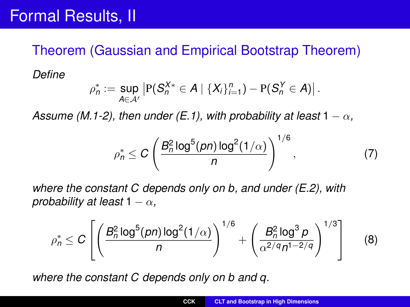#### Theorem (Gaussian and Empirical Bootstrap Theorem)

*Define*

$$
\rho_n^* := \sup_{A \in \mathcal{A}'} \left| P(S_n^{X*} \in A \mid \{X_i\}_{i=1}^n) - P(S_n^Y \in A) \right|.
$$

*Assume (M.1-2), then under (E.1), with probability at least*  $1 - \alpha$ ,

$$
\rho_n^* \leq C \left( \frac{B_n^2 \log^5(pn) \log^2(1/\alpha)}{n} \right)^{1/6},\tag{7}
$$

*where the constant C depends only on b, and under (E.2), with probability at least*  $1 - \alpha$ ,

$$
\rho_n^* \leq C \left[ \left( \frac{B_n^2 \log^5(pn) \log^2(1/\alpha)}{n} \right)^{1/6} + \left( \frac{B_n^2 \log^3 p}{\alpha^{2/q} n^{1-2/q}} \right)^{1/3} \right] \tag{8}
$$

*where the constant C depends only on b and q.*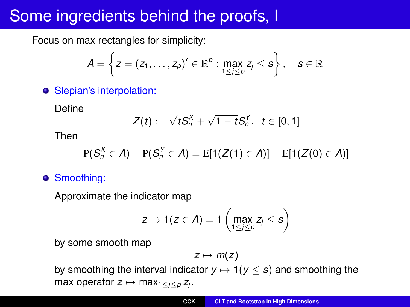# Some ingredients behind the proofs, I

Focus on max rectangles for simplicity:

$$
A = \left\{z = (z_1, \ldots, z_p)' \in \mathbb{R}^p : \max_{1 \leq j \leq p} z_j \leq s\right\}, \quad s \in \mathbb{R}
$$

**•** Slepian's interpolation:

Define

$$
Z(t) := \sqrt{t}S_n^X + \sqrt{1-t}S_n^Y, \ \ t \in [0,1]
$$

Then

$$
P(S_n^X \in A) - P(S_n^Y \in A) = E[1(Z(1) \in A)] - E[1(Z(0) \in A)]
$$

**•** Smoothing:

Approximate the indicator map

$$
z \mapsto 1(z \in A) = 1 \left( \max_{1 \leq j \leq p} z_j \leq s \right)
$$

by some smooth map

$$
z\mapsto m(z)
$$

by smoothing the interval indicator  $y \mapsto 1(y \le s)$  and smoothing the max operator  $z \mapsto \max_{1 \leq i \leq p} z_i$ .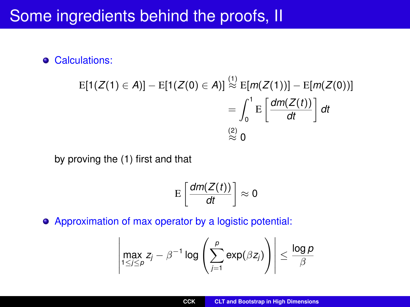### Some ingredients behind the proofs, II

**•** Calculations:

$$
E[1(Z(1) \in A)] - E[1(Z(0) \in A)] \stackrel{(1)}{\approx} E[m(Z(1))] - E[m(Z(0))]
$$

$$
= \int_0^1 E\left[\frac{dm(Z(t))}{dt}\right] dt
$$

$$
\stackrel{(2)}{\approx} 0
$$

by proving the (1) first and that

$$
\mathrm{E}\left[\frac{dm(Z(t))}{dt}\right]\approx 0
$$

Approximation of max operator by a logistic potential:

$$
\left|\max_{1\leq j\leq p} z_j - \beta^{-1}\log\left(\sum_{j=1}^p \exp(\beta z_j)\right)\right| \leq \frac{\log p}{\beta}
$$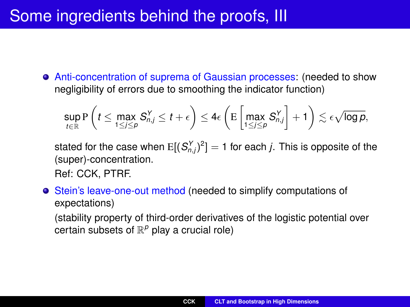# Some ingredients behind the proofs, III

Anti-concentration of suprema of Gaussian processes: (needed to show negligibility of errors due to smoothing the indicator function)

$$
\sup_{t\in\mathbb{R}}\mathrm{P}\left(t\leq \max_{1\leq j\leq p}S_{n,j}^Y\leq t+\epsilon\right)\leq 4\epsilon\left(\mathrm{E}\left[\max_{1\leq j\leq p}S_{n,j}^Y\right]+1\right)\lesssim \epsilon\sqrt{\log p},
$$

stated for the case when  $E[(S_{n,j}^Y)^2]=1$  for each *j*. This is opposite of the (super)-concentration.

Ref: CCK, PTRF.

Stein's leave-one-out method (needed to simplify computations of expectations)

(stability property of third-order derivatives of the logistic potential over certain subsets of  $\mathbb{R}^p$  play a crucial role)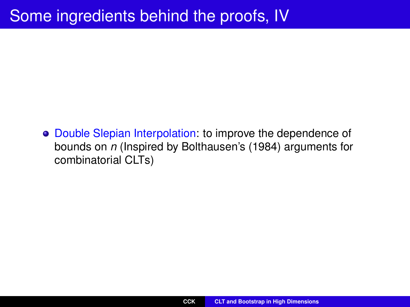# Some ingredients behind the proofs, IV

Double Slepian Interpolation: to improve the dependence of bounds on *n* (Inspired by Bolthausen's (1984) arguments for combinatorial CLTs)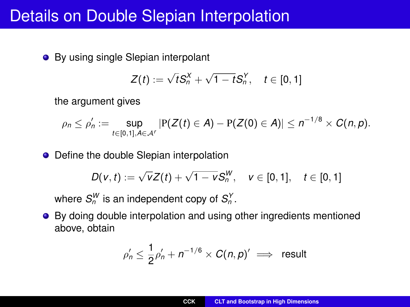### Details on Double Slepian Interpolation

• By using single Slepian interpolant

$$
Z(t) := \sqrt{t} S_n^X + \sqrt{1-t} S_n^Y, \quad t \in [0,1]
$$

the argument gives

$$
\rho_n \le \rho'_n := \sup_{t \in [0,1], A \in \mathcal{A}'} |P(Z(t) \in A) - P(Z(0) \in A)| \le n^{-1/8} \times C(n,p).
$$

• Define the double Slepian interpolation

$$
D(v, t) := \sqrt{v}Z(t) + \sqrt{1 - v}S_n^W, \quad v \in [0, 1], \quad t \in [0, 1]
$$

where  $S_n^W$  is an independent copy of  $S_n^Y$ .

● By doing double interpolation and using other ingredients mentioned above, obtain

$$
\rho_n' \leq \frac{1}{2}\rho_n' + n^{-1/6} \times C(n,p) \implies \text{ result}
$$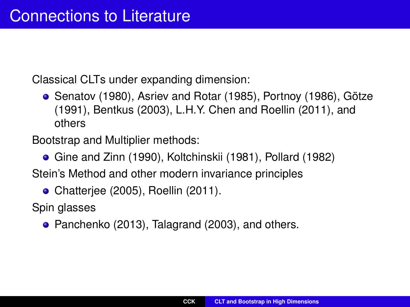Classical CLTs under expanding dimension:

Senatov (1980), Asriev and Rotar (1985), Portnoy (1986), Götze (1991), Bentkus (2003), L.H.Y. Chen and Roellin (2011), and others

Bootstrap and Multiplier methods:

Gine and Zinn (1990), Koltchinskii (1981), Pollard (1982)

Stein's Method and other modern invariance principles

• Chatterjee (2005), Roellin (2011).

Spin glasses

• Panchenko (2013), Talagrand (2003), and others.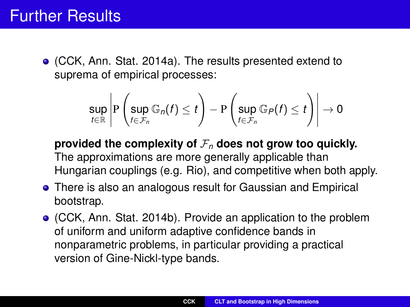(CCK, Ann. Stat. 2014a). The results presented extend to suprema of empirical processes:

$$
\sup_{t\in\mathbb{R}}\left|\mathrm{P}\left(\sup_{f\in\mathcal{F}_n}\mathbb{G}_n(f)\leq t\right)-\mathrm{P}\left(\sup_{f\in\mathcal{F}_n}\mathbb{G}_P(f)\leq t\right)\right|\to 0
$$

provided the complexity of  $\mathcal{F}_n$  does not grow too quickly. The approximations are more generally applicable than Hungarian couplings (e.g. Rio), and competitive when both apply.

- **•** There is also an analogous result for Gaussian and Empirical bootstrap.
- (CCK, Ann. Stat. 2014b). Provide an application to the problem of uniform and uniform adaptive confidence bands in nonparametric problems, in particular providing a practical version of Gine-Nickl-type bands.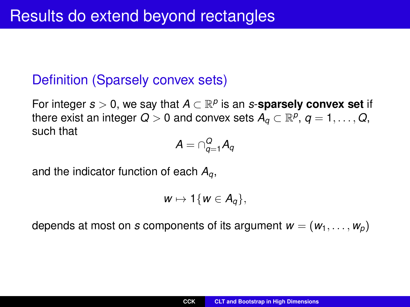#### Definition (Sparsely convex sets)

For integer *s* > 0, we say that *A* ⊂ R *p* is an *s*-**sparsely convex set** if there exist an integer  $Q > 0$  and convex sets  $A_q \subset \mathbb{R}^p, \, q=1,\ldots,Q,$ such that

$$
\mathcal{A} = \cap_{q=1}^Q \mathcal{A}_q
$$

and the indicator function of each *Aq*,

$$
w\mapsto 1\{w\in A_q\},
$$

depends at most on *s* components of its argument  $w = (w_1, \ldots, w_p)$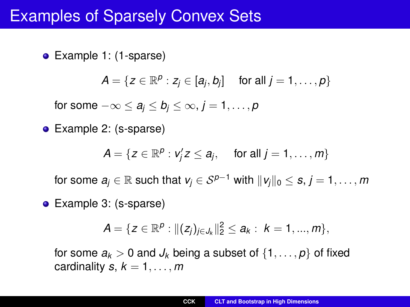### Examples of Sparsely Convex Sets

• Example 1: (1-sparse)

 $A = \{ z \in \mathbb{R}^p : z_j \in [a_j, b_j] \text{ for all } j = 1, \ldots, p \}$ 

for some  $-\infty \le a_j \le b_j \le \infty$ ,  $j = 1, \ldots, p$ 

• Example 2: (s-sparse)

$$
A = \{ z \in \mathbb{R}^p : v'_j z \le a_j, \quad \text{ for all } j = 1, \ldots, m \}
$$

for some  $a_i \in \mathbb{R}$  such that  $v_i \in S^{p-1}$  with  $||v_i||_0 \le s, j = 1, \ldots, m$ 

• Example 3: (s-sparse)

$$
A = \{ z \in \mathbb{R}^p : ||(z_j)_{j \in J_k}||_2^2 \le a_k : k = 1, ..., m \},\
$$

for some  $a_k > 0$  and  $J_k$  being a subset of  $\{1, \ldots, p\}$  of fixed cardinality  $s, k = 1, \ldots, m$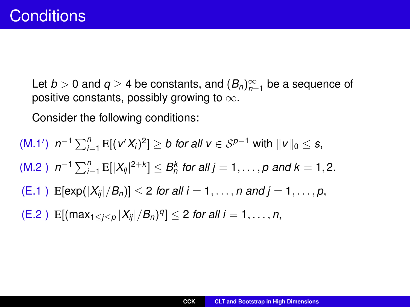Let  $b > 0$  and  $q \ge 4$  be constants, and  $(B_n)_{n=1}^{\infty}$  be a sequence of positive constants, possibly growing to  $\infty$ .

Consider the following conditions:

 $(N.1')$   $n^{-1}$   $\sum_{i=1}^{n}$  E[( $v'X_i$ )<sup>2</sup>] ≥ *b for all v* ∈  $S^{p-1}$  with  $||v||_0$  ≤ *s*,  $(M.2)$   $n^{-1} \sum_{i=1}^{n} E[|X_{ij}|^{2+k}] \leq B_n^k$  for all  $j = 1, \ldots, p$  and  $k = 1, 2$ .  $(E.1)$   $E[exp(|X_{ii}|/B_n)] < 2$  *for all i* = 1, ..., *n* and *j* = 1, ..., *p*,  $(E.2)$   $E[(max_{1 \leq j \leq p} |X_{ij}|/B_n)^q] \leq 2$  *for all i* = 1, ..., *n*,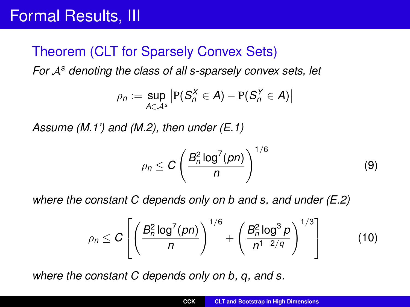### Theorem (CLT for Sparsely Convex Sets)

*For* A*<sup>s</sup> denoting the class of all s-sparsely convex sets, let*

$$
\rho_n := \sup_{A \in \mathcal{A}^s} \left| P(S_n^X \in A) - P(S_n^Y \in A) \right|
$$

*Assume (M.1') and (M.2), then under (E.1)*

$$
\rho_n \leq C \left( \frac{B_n^2 \log^7(pn)}{n} \right)^{1/6} \tag{9}
$$

*where the constant C depends only on b and s, and under (E.2)*

$$
\rho_n \leq C \left[ \left( \frac{B_n^2 \log^7(pn)}{n} \right)^{1/6} + \left( \frac{B_n^2 \log^3 p}{n^{1-2/q}} \right)^{1/3} \right] \tag{10}
$$

*where the constant C depends only on b, q, and s.*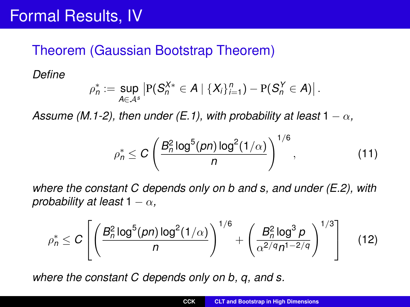#### Theorem (Gaussian Bootstrap Theorem)

*Define*

$$
\rho_n^* := \sup_{A \in \mathcal{A}^s} \left| P(S_n^{X*} \in A \mid \{X_i\}_{i=1}^n) - P(S_n^Y \in A) \right|.
$$

*Assume (M.1-2), then under (E.1), with probability at least*  $1 - \alpha$ ,

$$
\rho_n^* \leq C \left( \frac{B_n^2 \log^5(pn) \log^2(1/\alpha)}{n} \right)^{1/6},\tag{11}
$$

*where the constant C depends only on b and s, and under (E.2), with probability at least*  $1 - \alpha$ ,

$$
\rho_n^* \leq C \left[ \left( \frac{B_n^2 \log^5(pn) \log^2(1/\alpha)}{n} \right)^{1/6} + \left( \frac{B_n^2 \log^3 p}{\alpha^{2/q} n^{1-2/q}} \right)^{1/3} \right] \quad (12)
$$

*where the constant C depends only on b, q, and s.*